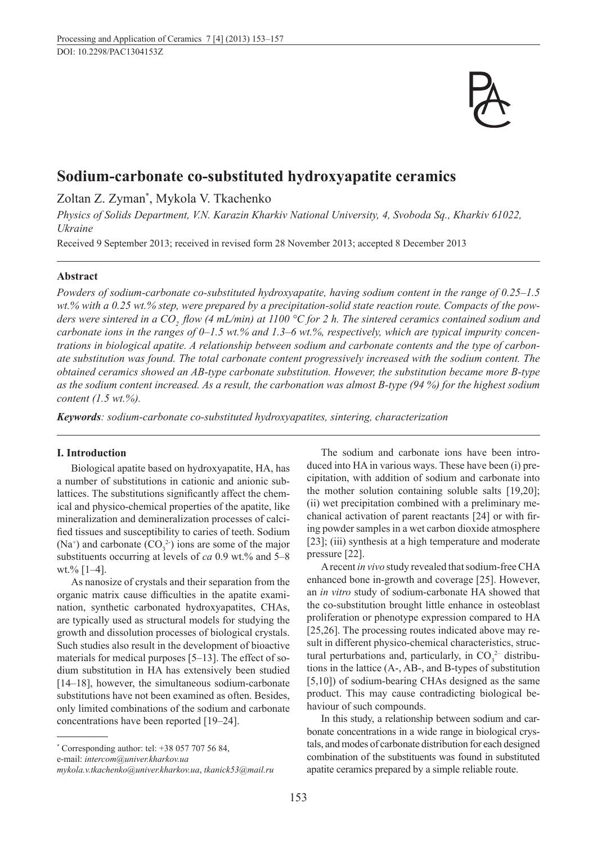

# **Sodium-carbonate co-substituted hydroxyapatite ceramics**

Zoltan Z. Zyman\* , Mykola V. Tkachenko

*Physics of Solids Department, V.N. Karazin Kharkiv National University, 4, Svoboda Sq., Kharkiv 61022, Ukraine*

Received 9 September 2013; received in revised form 28 November 2013; accepted 8 December 2013

# **Abstract**

*Powders of sodium-carbonate co-substituted hydroxyapatite, having sodium content in the range of 0.25–1.5 wt.% with a 0.25 wt.% step, were prepared by a precipitation-solid state reaction route. Compacts of the powders were sintered in a CO<sub>2</sub> flow (4 mL/min) at 1100 °C for 2 h. The sintered ceramics contained sodium and carbonate ions in the ranges of 0–1.5 wt.% and 1.3–6 wt.%, respectively, which are typical impurity concentrations in biological apatite. A relationship between sodium and carbonate contents and the type of carbonate substitution was found. The total carbonate content progressively increased with the sodium content. The obtained ceramics showed an AB-type carbonate substitution. However, the substitution became more B-type as the sodium content increased. As a result, the carbonation was almost B-type (94 %) for the highest sodium content (1.5 wt.%).*

*Keywords: sodium-carbonate co-substituted hydroxyapatites, sintering, characterization*

### **I. Introduction**

Biological apatite based on hydroxyapatite, HA, has a number of substitutions in cationic and anionic sublattices. The substitutions significantly affect the chemical and physico-chemical properties of the apatite, like mineralization and demineralization processes of calcified tissues and susceptibility to caries of teeth. Sodium  $(Na<sup>+</sup>)$  and carbonate  $(CO<sub>3</sub><sup>2</sup>)$  ions are some of the major substituents occurring at levels of *ca* 0.9 wt.% and 5–8 wt.% [1–4].

As nanosize of crystals and their separation from the organic matrix cause difficulties in the apatite examination, synthetic carbonated hydroxyapatites, CHAs, are typically used as structural models for studying the growth and dissolution processes of biological crystals. Such studies also result in the development of bioactive materials for medical purposes [5–13]. The effect of sodium substitution in HA has extensively been studied [14–18], however, the simultaneous sodium-carbonate substitutions have not been examined as often. Besides, only limited combinations of the sodium and carbonate concentrations have been reported [19–24].

\* Corresponding author: tel: +38 057 707 56 84,

e-mail: *intercom@univer.kharkov.ua*

The sodium and carbonate ions have been introduced into HA in various ways. These have been (i) precipitation, with addition of sodium and carbonate into the mother solution containing soluble salts [19,20]; (ii) wet precipitation combined with a preliminary mechanical activation of parent reactants [24] or with firing powder samples in a wet carbon dioxide atmosphere [23]; (iii) synthesis at a high temperature and moderate pressure [22].

A recent *in vivo* study revealed that sodium-free CHA enhanced bone in-growth and coverage [25]. However, an *in vitro* study of sodium-carbonate HA showed that the co-substitution brought little enhance in osteoblast proliferation or phenotype expression compared to HA [25,26]. The processing routes indicated above may result in different physico-chemical characteristics, structural perturbations and, particularly, in  $CO_3^2$  distributions in the lattice (A-, AB-, and B-types of substitution [5,10]) of sodium-bearing CHAs designed as the same product. This may cause contradicting biological behaviour of such compounds.

In this study, a relationship between sodium and carbonate concentrations in a wide range in biological crystals, and modes of carbonate distribution for each designed combination of the substituents was found in substituted apatite ceramics prepared by a simple reliable route.

*mykola.v.tkachenko@univer.kharkov.ua*, *tkanick53@mail.ru*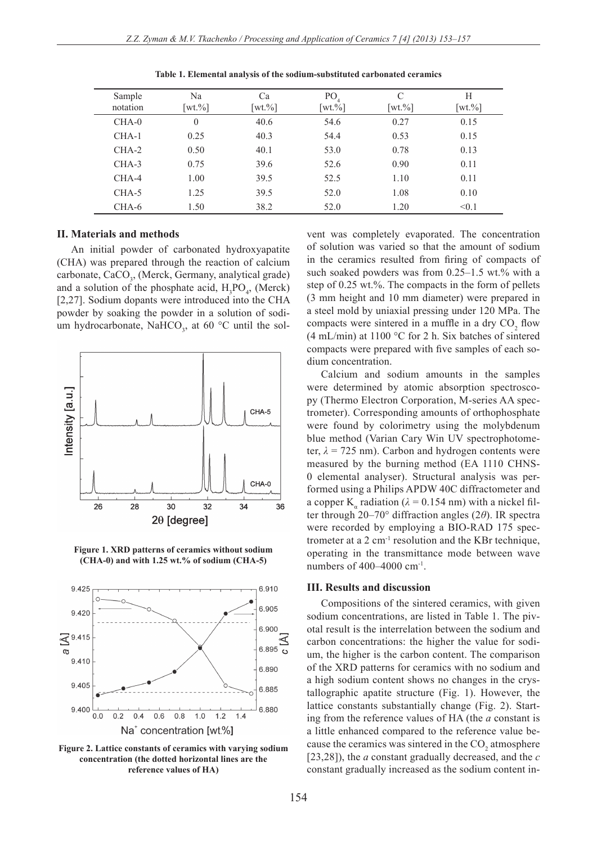| Sample<br>notation | Na<br>$\lceil wt. \% \rceil$ | Ca<br>$\lceil wt. \% \rceil$ | P <sub>O</sub><br>$\lceil wt. \% \rceil$ | C<br>$\lceil wt. \% \rceil$ | Н<br>$\lceil wt. \% \rceil$ |
|--------------------|------------------------------|------------------------------|------------------------------------------|-----------------------------|-----------------------------|
| CHA-0              | $\theta$                     | 40.6                         | 54.6                                     | 0.27                        | 0.15                        |
| $CHA-1$            | 0.25                         | 40.3                         | 54.4                                     | 0.53                        | 0.15                        |
| CHA-2              | 0.50                         | 40.1                         | 53.0                                     | 0.78                        | 0.13                        |
| CHA-3              | 0.75                         | 39.6                         | 52.6                                     | 0.90                        | 0.11                        |
| $CHA-4$            | 1.00                         | 39.5                         | 52.5                                     | 1.10                        | 0.11                        |
| CHA-5              | 1.25                         | 39.5                         | 52.0                                     | 1.08                        | 0.10                        |
| CHA-6              | 1.50                         | 38.2                         | 52.0                                     | 1.20                        | < 0.1                       |

**Table 1. Elemental analysis of the sodium-substituted carbonated ceramics**

### **II. Materials and methods**

An initial powder of carbonated hydroxyapatite (CHA) was prepared through the reaction of calcium carbonate, CaCO<sub>3</sub>, (Merck, Germany, analytical grade) and a solution of the phosphate acid,  $H_3PO_4$ , (Merck) [2,27]. Sodium dopants were introduced into the CHA powder by soaking the powder in a solution of sodium hydrocarbonate, NaHCO<sub>3</sub>, at 60  $^{\circ}$ C until the sol-



**Figure 1. XRD patterns of ceramics without sodium (CHA-0) and with 1.25 wt.% of sodium (CHA-5)**



**Figure 2. Lattice constants of ceramics with varying sodium concentration (the dotted horizontal lines are the reference values of HA)**

vent was completely evaporated. The concentration of solution was varied so that the amount of sodium in the ceramics resulted from firing of compacts of such soaked powders was from  $0.25-1.5$  wt.% with a step of 0.25 wt.%. The compacts in the form of pellets (3 mm height and 10 mm diameter) were prepared in a steel mold by uniaxial pressing under 120 MPa. The compacts were sintered in a muffle in a dry  $CO<sub>2</sub>$  flow (4 mL/min) at 1100 °C for 2 h. Six batches of sintered compacts were prepared with five samples of each sodium concentration.

Calcium and sodium amounts in the samples were determined by atomic absorption spectroscopy (Thermo Electron Corporation, M-series AA spectrometer). Corresponding amounts of orthophosphate were found by colorimetry using the molybdenum blue method (Varian Cary Win UV spectrophotometer,  $\lambda$  = 725 nm). Carbon and hydrogen contents were measured by the burning method (EA 1110 CHNS-0 elemental analyser). Structural analysis was performed using a Philips APDW 40C diffractometer and a copper K<sub>a</sub> radiation ( $\lambda$  = 0.154 nm) with a nickel filter through 20–70° diffraction angles (2*θ*). IR spectra were recorded by employing a BIO-RAD 175 spectrometer at a 2 cm-1 resolution and the KBr technique, operating in the transmittance mode between wave numbers of  $400-4000$  cm<sup>-1</sup>.

#### **III. Results and discussion**

Compositions of the sintered ceramics, with given sodium concentrations, are listed in Table 1. The pivotal result is the interrelation between the sodium and carbon concentrations: the higher the value for sodium, the higher is the carbon content. The comparison of the XRD patterns for ceramics with no sodium and a high sodium content shows no changes in the crystallographic apatite structure (Fig. 1). However, the lattice constants substantially change (Fig. 2). Starting from the reference values of HA (the *a* constant is a little enhanced compared to the reference value because the ceramics was sintered in the  $CO<sub>2</sub>$  atmosphere [23,28]), the *a* constant gradually decreased, and the *c* constant gradually increased as the sodium content in-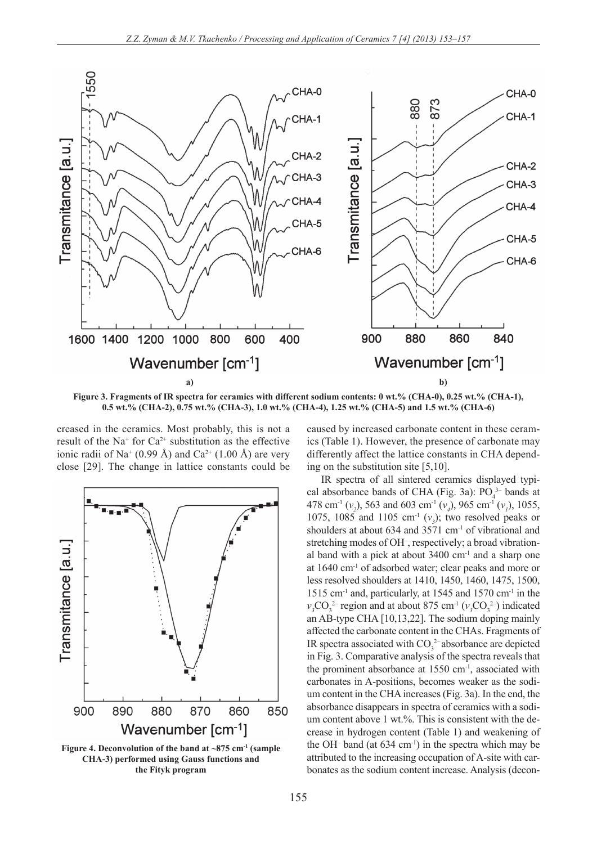

**0.5 wt.% (CHA-2), 0.75 wt.% (CHA-3), 1.0 wt.% (CHA-4), 1.25 wt.% (CHA-5) and 1.5 wt.% (CHA-6)**

creased in the ceramics. Most probably, this is not a result of the Na<sup>+</sup> for  $Ca^{2+}$  substitution as the effective ionic radii of Na<sup>+</sup> (0.99 Å) and Ca<sup>2+</sup> (1.00 Å) are very close [29]. The change in lattice constants could be



Figure 4. Deconvolution of the band at ~875 cm<sup>-1</sup> (sample **CHA-3) performed using Gauss functions and the Fityk program**

caused by increased carbonate content in these ceramics (Table 1). However, the presence of carbonate may differently affect the lattice constants in CHA depending on the substitution site [5,10].

IR spectra of all sintered ceramics displayed typical absorbance bands of CHA (Fig. 3a):  $PO<sub>4</sub><sup>3-</sup>$  bands at 478 cm<sup>-1</sup> (*v*<sub>2</sub>), 563 and 603 cm<sup>-1</sup> (*v*<sub>4</sub>), 965 cm<sup>-1</sup> (*v*<sub>1</sub>), 1055, 1075, 1085 and 1105 cm<sup>-1</sup>  $(v_3)$ ; two resolved peaks or shoulders at about 634 and 3571 cm<sup>-1</sup> of vibrational and stretching modes of OH– , respectively; a broad vibrational band with a pick at about  $3400 \text{ cm}^{-1}$  and a sharp one at 1640 cm-1 of adsorbed water; clear peaks and more or less resolved shoulders at 1410, 1450, 1460, 1475, 1500, 1515 cm-1 and, particularly, at 1545 and 1570 cm-1 in the  $v_3$ CO<sub>3</sub><sup>2</sup> region and at about 875 cm<sup>-1</sup> ( $v_3$ CO<sub>3</sub><sup>2</sup>) indicated an AB-type CHA [10,13,22]. The sodium doping mainly affected the carbonate content in the CHAs. Fragments of IR spectra associated with  $CO<sub>3</sub><sup>2</sup>$  absorbance are depicted in Fig. 3. Comparative analysis of the spectra reveals that the prominent absorbance at 1550 cm<sup>-1</sup>, associated with carbonates in A-positions, becomes weaker as the sodium content in the CHA increases (Fig. 3a). In the end, the absorbance disappears in spectra of ceramics with a sodium content above 1 wt.%. This is consistent with the decrease in hydrogen content (Table 1) and weakening of the OH– band (at 634 cm-1) in the spectra which may be attributed to the increasing occupation of A-site with carbonates as the sodium content increase. Analysis (decon-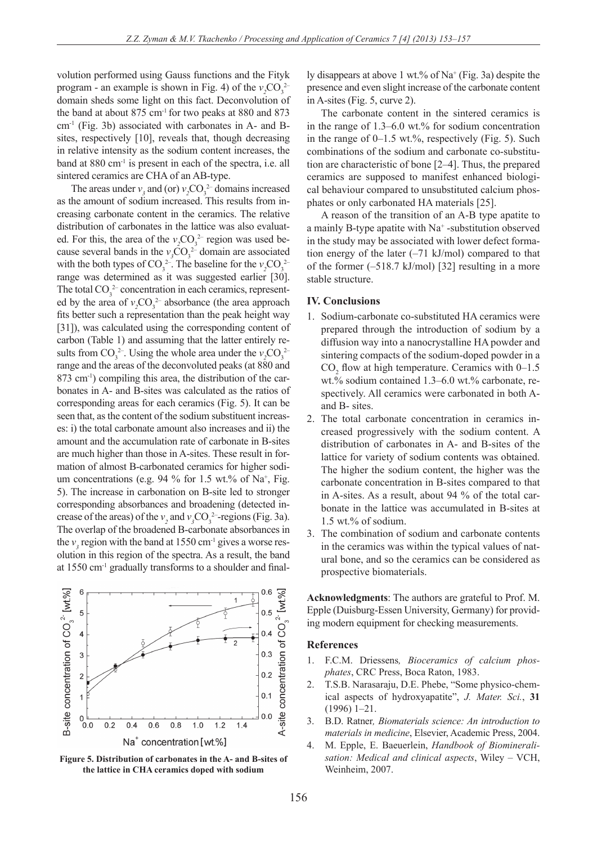volution performed using Gauss functions and the Fityk program - an example is shown in Fig. 4) of the  $v_2CO_3^{2-}$ domain sheds some light on this fact. Deconvolution of the band at about 875 cm-1 for two peaks at 880 and 873 cm-1 (Fig. 3b) associated with carbonates in A- and Bsites, respectively [10], reveals that, though decreasing in relative intensity as the sodium content increases, the band at 880 cm<sup>-1</sup> is present in each of the spectra, i.e. all sintered ceramics are CHA of an AB-type.

The areas under  $v_3$  and (or)  $v_2$ CO<sub>3</sub><sup>2</sup> domains increased as the amount of sodium increased. This results from increasing carbonate content in the ceramics. The relative distribution of carbonates in the lattice was also evaluated. For this, the area of the  $v_2CO_3^{2-}$  region was used because several bands in the  $v_3CO_3^{2-}$  domain are associated with the both types of  $CO_3^2$ <sup>-</sup>. The baseline for the  $v_2CO_3^2$ <sup>-2</sup> range was determined as it was suggested earlier [30]. The total  $CO_3^2$  concentration in each ceramics, represented by the area of  $v_2CO_3^2$  absorbance (the area approach fits better such a representation than the peak height way [31]), was calculated using the corresponding content of carbon (Table 1) and assuming that the latter entirely results from  $CO_3^2$ <sup>-</sup>. Using the whole area under the  $v_2CO_3^2$ <sup>-2</sup> range and the areas of the deconvoluted peaks (at 880 and 873 cm<sup>-1</sup>) compiling this area, the distribution of the carbonates in A- and B-sites was calculated as the ratios of corresponding areas for each ceramics (Fig. 5). It can be seen that, as the content of the sodium substituent increases: i) the total carbonate amount also increases and ii) the amount and the accumulation rate of carbonate in B-sites are much higher than those in A-sites. These result in formation of almost B-carbonated ceramics for higher sodium concentrations (e.g.  $94\%$  for 1.5 wt.% of Na<sup>+</sup>, Fig. 5). The increase in carbonation on B-site led to stronger corresponding absorbances and broadening (detected increase of the areas) of the  $v_2$  and  $v_3$ CO<sub>3</sub><sup>2</sup>-regions (Fig. 3a). The overlap of the broadened B-carbonate absorbances in the  $v_3$  region with the band at 1550 cm<sup>-1</sup> gives a worse resolution in this region of the spectra. As a result, the band at 1550 cm-1 gradually transforms to a shoulder and final-



**Figure 5. Distribution of carbonates in the A- and B-sites of the lattice in CHA ceramics doped with sodium**

ly disappears at above 1 wt.% of Na<sup>+</sup> (Fig. 3a) despite the presence and even slight increase of the carbonate content in A-sites (Fig. 5, curve 2).

The carbonate content in the sintered ceramics is in the range of 1.3–6.0 wt.% for sodium concentration in the range of  $0-1.5$  wt.%, respectively (Fig. 5). Such combinations of the sodium and carbonate co-substitution are characteristic of bone [2–4]. Thus, the prepared ceramics are supposed to manifest enhanced biological behaviour compared to unsubstituted calcium phosphates or only carbonated HA materials [25].

A reason of the transition of an A-B type apatite to a mainly B-type apatite with  $Na^+$ -substitution observed in the study may be associated with lower defect formation energy of the later (–71 kJ/mol) compared to that of the former  $(-518.7 \text{ kJ/mol})$  [32] resulting in a more stable structure.

# **IV. Conclusions**

- 1. Sodium-carbonate co-substituted HA ceramics were prepared through the introduction of sodium by a diffusion way into a nanocrystalline HA powder and sintering compacts of the sodium-doped powder in a  $CO<sub>2</sub>$  flow at high temperature. Ceramics with 0–1.5 wt.% sodium contained 1.3–6.0 wt.% carbonate, respectively. All ceramics were carbonated in both Aand B- sites.
- 2. The total carbonate concentration in ceramics increased progressively with the sodium content. A distribution of carbonates in A- and B-sites of the lattice for variety of sodium contents was obtained. The higher the sodium content, the higher was the carbonate concentration in B-sites compared to that in A-sites. As a result, about 94 % of the total carbonate in the lattice was accumulated in B-sites at 1.5 wt.% of sodium.
- 3. The combination of sodium and carbonate contents in the ceramics was within the typical values of natural bone, and so the ceramics can be considered as prospective biomaterials.

**Acknowledgments**: The authors are grateful to Prof. M. Epple (Duisburg-Essen University, Germany) for providing modern equipment for checking measurements.

#### **References**

- 1. F.C.M. Driessens*, Bioceramics of calcium phosphates*, CRC Press, Boca Raton, 1983.
- 2. T.S.B. Narasaraju, D.E. Phebe, "Some physico-chemical aspects of hydroxyapatite", *J. Mater. Sci.*, **31** (1996) 1–21.
- 3. B.D. Ratner*, Biomaterials science: An introduction to materials in medicine*, Elsevier, Academic Press, 2004.
- 4. M. Epple, E. Baeuerlein, *Handbook of Biomineralisation: Medical and clinical aspects*, Wiley – VCH, Weinheim, 2007.